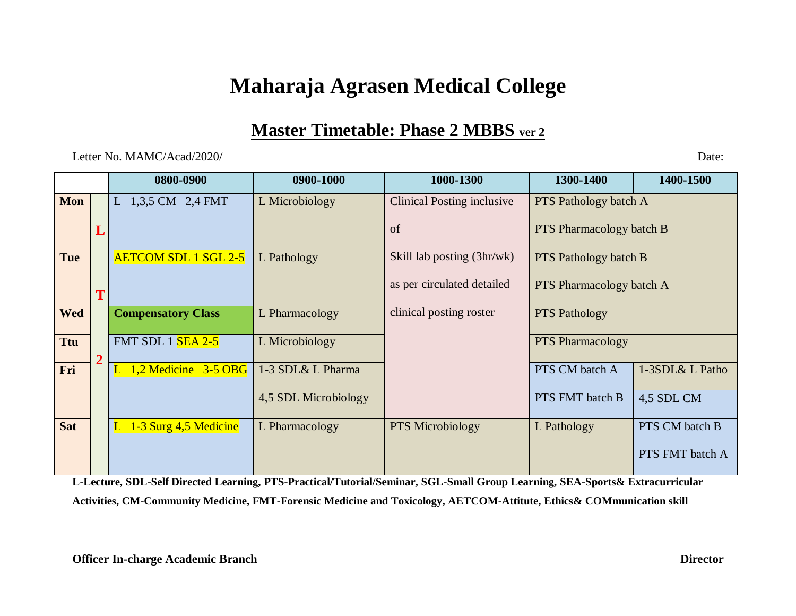## **Maharaja Agrasen Medical College**

## **Master Timetable: Phase 2 MBBS ver 2**

Letter No. MAMC/Acad/2020/ Date:

|            |                | 0800-0900                   | 0900-1000            | 1000-1300                         | 1300-1400                       | 1400-1500       |
|------------|----------------|-----------------------------|----------------------|-----------------------------------|---------------------------------|-----------------|
| Mon        |                | L 1,3,5 CM 2,4 FMT          | L Microbiology       | <b>Clinical Posting inclusive</b> | <b>PTS</b> Pathology batch A    |                 |
|            | L              |                             |                      | of                                | <b>PTS</b> Pharmacology batch B |                 |
| <b>Tue</b> |                | <b>AETCOM SDL 1 SGL 2-5</b> | L Pathology          | Skill lab posting (3hr/wk)        | <b>PTS</b> Pathology batch B    |                 |
|            | T              |                             |                      | as per circulated detailed        | <b>PTS</b> Pharmacology batch A |                 |
| <b>Wed</b> |                | <b>Compensatory Class</b>   | L Pharmacology       | clinical posting roster           | <b>PTS Pathology</b>            |                 |
| <b>Ttu</b> | $\overline{2}$ | <b>FMT SDL 1 SEA 2-5</b>    | L Microbiology       |                                   | <b>PTS</b> Pharmacology         |                 |
| Fri        |                | 1,2 Medicine 3-5 OBG        | 1-3 SDL& L Pharma    |                                   | PTS CM batch A                  | 1-3SDL& L Patho |
|            |                |                             | 4,5 SDL Microbiology |                                   | PTS FMT batch B                 | 4,5 SDL CM      |
| <b>Sat</b> |                | 1-3 Surg 4,5 Medicine       | L Pharmacology       | <b>PTS</b> Microbiology           | L Pathology                     | PTS CM batch B  |
|            |                |                             |                      |                                   |                                 | PTS FMT batch A |

**L-Lecture, SDL-Self Directed Learning, PTS-Practical/Tutorial/Seminar, SGL-Small Group Learning, SEA-Sports& Extracurricular Activities, CM-Community Medicine, FMT-Forensic Medicine and Toxicology, AETCOM-Attitute, Ethics& COMmunication skill**